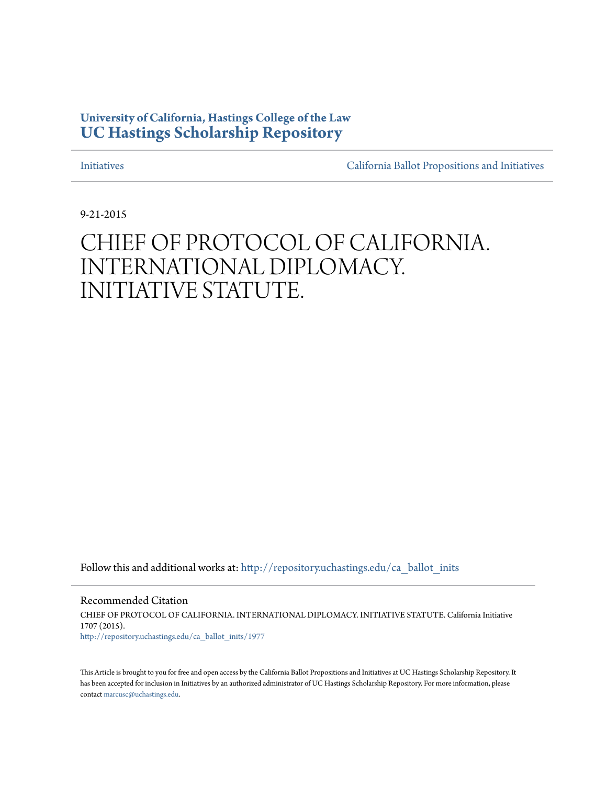# **University of California, Hastings College of the Law [UC Hastings Scholarship Repository](http://repository.uchastings.edu?utm_source=repository.uchastings.edu%2Fca_ballot_inits%2F1977&utm_medium=PDF&utm_campaign=PDFCoverPages)**

[Initiatives](http://repository.uchastings.edu/ca_ballot_inits?utm_source=repository.uchastings.edu%2Fca_ballot_inits%2F1977&utm_medium=PDF&utm_campaign=PDFCoverPages) [California Ballot Propositions and Initiatives](http://repository.uchastings.edu/ca_ballots?utm_source=repository.uchastings.edu%2Fca_ballot_inits%2F1977&utm_medium=PDF&utm_campaign=PDFCoverPages)

9-21-2015

# CHIEF OF PROTOCOL OF CALIFORNIA. INTERNATIONAL DIPLOMACY. INITIATIVE STATUTE.

Follow this and additional works at: [http://repository.uchastings.edu/ca\\_ballot\\_inits](http://repository.uchastings.edu/ca_ballot_inits?utm_source=repository.uchastings.edu%2Fca_ballot_inits%2F1977&utm_medium=PDF&utm_campaign=PDFCoverPages)

Recommended Citation CHIEF OF PROTOCOL OF CALIFORNIA. INTERNATIONAL DIPLOMACY. INITIATIVE STATUTE. California Initiative 1707 (2015). [http://repository.uchastings.edu/ca\\_ballot\\_inits/1977](http://repository.uchastings.edu/ca_ballot_inits/1977?utm_source=repository.uchastings.edu%2Fca_ballot_inits%2F1977&utm_medium=PDF&utm_campaign=PDFCoverPages)

This Article is brought to you for free and open access by the California Ballot Propositions and Initiatives at UC Hastings Scholarship Repository. It has been accepted for inclusion in Initiatives by an authorized administrator of UC Hastings Scholarship Repository. For more information, please contact [marcusc@uchastings.edu](mailto:marcusc@uchastings.edu).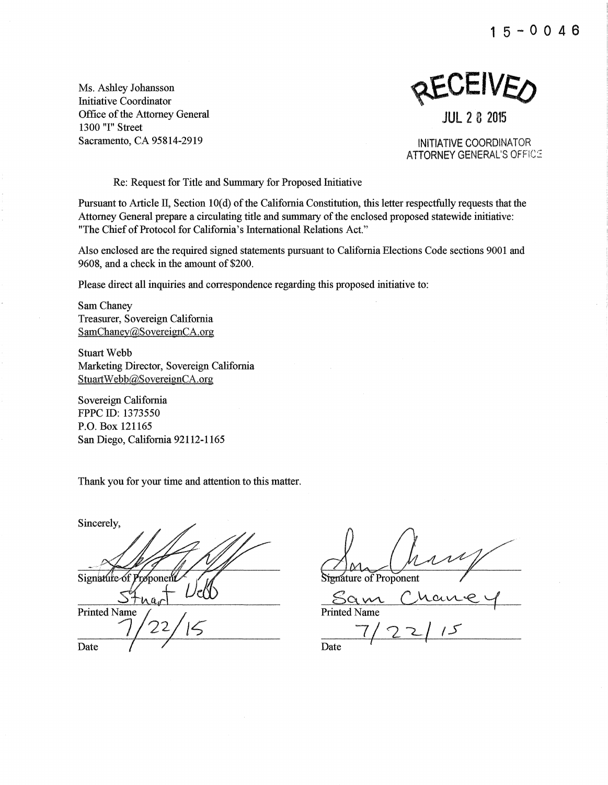**15-0046** 

Ms. Ashley Johansson Initiative Coordinator Office of the Attorney General 1300 "I" Street Sacramento, CA 95814-2919

**SCAFIACO** 

**JUL 2 8 2015** 

INITIATIVE COORDINATOR **ATTORNEY GENERAL'S OFFICE** 

Re: Request for Title and Summary for Proposed Initiative

Pursuant to Article II, Section 10(d) of the California Constitution, this letter respectfully requests that the Attorney General prepare a circulating title and summary of the enclosed proposed statewide initiative: "The Chief of Protocol for California's International Relations Act."

Also enclosed are the required signed statements pursuant to California Elections Code sections 9001 and 9608, and a check in the amount of \$200.

Please direct all inquiries and correspondence regarding this proposed initiative to:

Sam Chaney Treasurer, Sovereign California SamChaney@SovereignCA.org

Stuart Webb Marketing Director, Sovereign California StuartWebb@SovereignCA.org

Sovereign California FPPC ID: 1373550 P.O. Box 121165 San Diego, California 92112-1165

Thank you for your time and attention to this matter.

Sincerely, Signature of Proponent **Printed Name** Date

Stenature of Proponent

 $\frac{\text{SQ}}{\text{Printed Name}}$  $7/22/15$ 

Date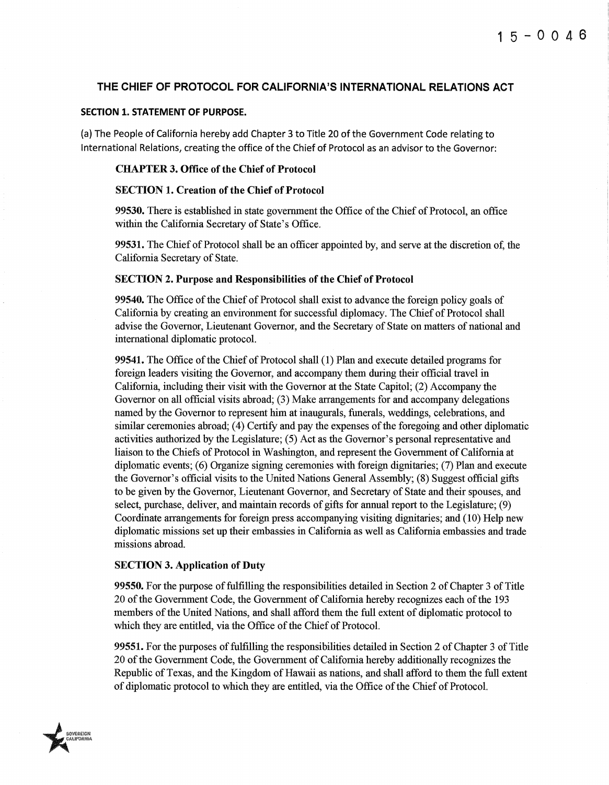### THE CHIEF OF PROTOCOL FOR CALIFORNIA'S INTERNATIONAL RELATIONS ACT

#### SECTION 1. STATEMENT OF PURPOSE.

(a) The People of California hereby add Chapter 3 to Title 20 of the Government Code relating to International Relations, creating the office of the Chief of Protocol as an advisor to the Governor:

#### CHAPTER 3. Office of the Chief of Protocol

#### SECTION 1. Creation of the Chief of Protocol

99530. There is established in state govemment the Office of the Chief of Protocol, an office within the California Secretary of State's Office.

99531. The Chief of Protocol shall be an officer appointed by, and serve at the discretion of, the California Secretary of State.

#### SECTION 2. Purpose and Responsibilities of the Chief of Protocol

99540. The Office of the Chief of Protocol shall exist to advance the foreign policy goals of California by creating an environment for successful diplomacy. The Chief of Protocol shall advise the Govemor, Lieutenant Govemor, and the Secretary of State on matters of national and intemational diplomatic protocol.

99541. The Office of the Chief of Protocol shall (1) Plan and execute detailed programs for foreign leaders visiting the Govemor, and accompany them during their official travel in California, including their visit with the Govemor at the State Capitol; (2) Accompany the Governor on all official visits abroad; (3) Make arrangements for and accompany delegations named by the Governor to represent him at inaugurals, funerals, weddings, celebrations, and similar ceremonies abroad; ( 4) Certify and pay the expenses of the foregoing and other diplomatic activities authorized by the Legislature; (5) Act as the Governor's personal representative and liaison to the Chiefs of Protocol in Washington, and represent the Government of California at diplomatic events; (6) Organize signing ceremonies with foreign dignitaries; (7) Plan and execute the Governor's official visits to the United Nations General Assembly; (8) Suggest official gifts to be given by the Governor, Lieutenant Governor, and Secretary of State and their spouses, and select, purchase, deliver, and maintain records of gifts for annual report to the Legislature; (9) Coordinate arrangements for foreign press accompanying visiting dignitaries; and (10) Help new diplomatic missions set up their embassies in California as well as California embassies and trade missions abroad.

#### SECTION 3. Application of Duty

99550. For the purpose of fulfilling the responsibilities detailed in Section 2 of Chapter 3 of Title 20 of the Government Code, the Government of California hereby recognizes each of the 193 members of the United Nations, and shall afford them the full extent of diplomatic protocol to which they are entitled, via the Office of the Chief of Protocol.

99551. For the purposes offulfilling the responsibilities detailed in Section 2 of Chapter 3 of Title 20 of the Government Code, the Government of California hereby additionally recognizes the Republic of Texas, and the Kingdom of Hawaii as nations, and shall afford to them the full extent of diplomatic protocol to which they are entitled, via the Office of the Chief of Protocol.